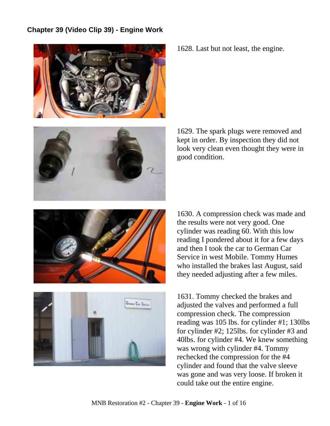## **Chapter 39 (Video Clip 39) - Engine Work**



1628. Last but not least, the engine.

1629. The spark plugs were removed and kept in order. By inspection they did not look very clean even thought they were in good condition.

1630. A compression check was made and the results were not very good. One cylinder was reading 60. With this low reading I pondered about it for a few days and then I took the car to German Car Service in west Mobile. Tommy Humes who installed the brakes last August, said they needed adjusting after a few miles.

1631. Tommy checked the brakes and adjusted the valves and performed a full compression check. The compression reading was 105 lbs. for cylinder #1; 130lbs for cylinder #2; 125lbs. for cylinder #3 and 40lbs. for cylinder #4. We knew something was wrong with cylinder #4. Tommy rechecked the compression for the #4 cylinder and found that the valve sleeve was gone and was very loose. If broken it could take out the entire engine.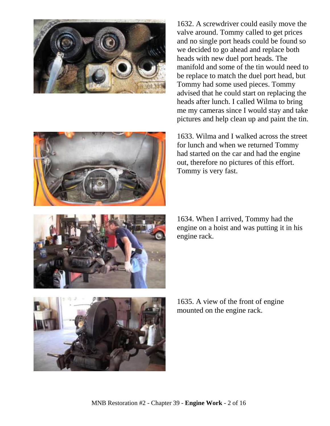



1632. A screwdriver could easily move the valve around. Tommy called to get prices and no single port heads could be found so we decided to go ahead and replace both heads with new duel port heads. The manifold and some of the tin would need to be replace to match the duel port head, but Tommy had some used pieces. Tommy advised that he could start on replacing the heads after lunch. I called Wilma to bring me my cameras since I would stay and take pictures and help clean up and paint the tin.

1633. Wilma and I walked across the street for lunch and when we returned Tommy had started on the car and had the engine out, therefore no pictures of this effort. Tommy is very fast.



1634. When I arrived, Tommy had the engine on a hoist and was putting it in his engine rack.



1635. A view of the front of engine mounted on the engine rack.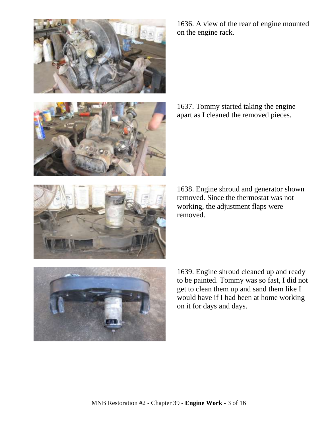



1636. A view of the rear of engine mounted on the engine rack.

1637. Tommy started taking the engine apart as I cleaned the removed pieces.



1638. Engine shroud and generator shown removed. Since the thermostat was not working, the adjustment flaps were removed.



1639. Engine shroud cleaned up and ready to be painted. Tommy was so fast, I did not get to clean them up and sand them like I would have if I had been at home working on it for days and days.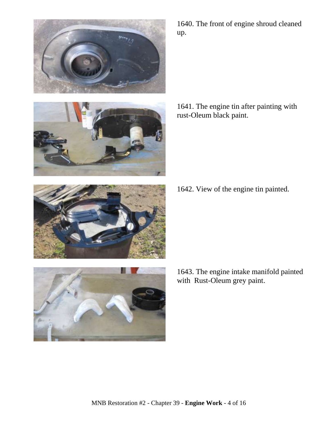



1640. The front of engine shroud cleaned up.

1641. The engine tin after painting with rust-Oleum black paint.

1642. View of the engine tin painted.



1643. The engine intake manifold painted with Rust-Oleum grey paint.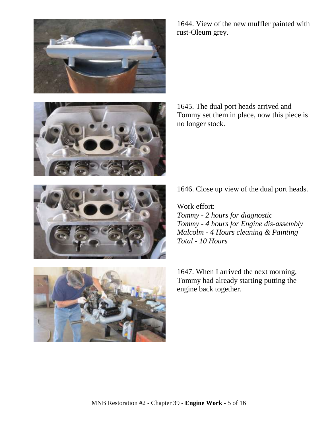





1644. View of the new muffler painted with rust-Oleum grey.

1645. The dual port heads arrived and Tommy set them in place, now this piece is no longer stock.

1646. Close up view of the dual port heads.

Work effort: *Tommy - 2 hours for diagnostic Tommy - 4 hours for Engine dis-assembly Malcolm - 4 Hours cleaning & Painting Total - 10 Hours*

1647. When I arrived the next morning, Tommy had already starting putting the engine back together.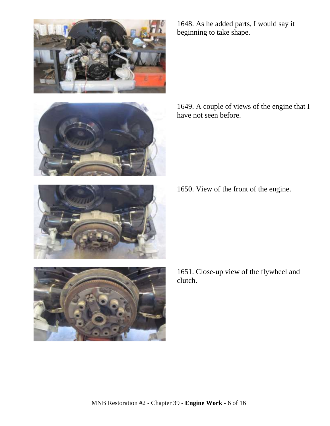





1648. As he added parts, I would say it beginning to take shape.

1649. A couple of views of the engine that I have not seen before.

1650. View of the front of the engine.

1651. Close-up view of the flywheel and clutch.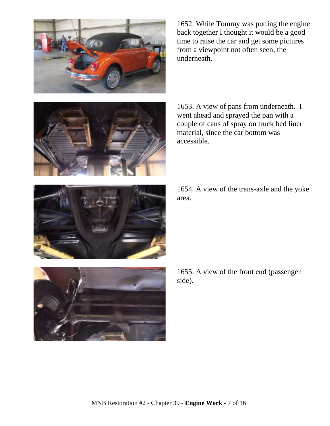

1652. While Tommy was putting the engine back together I thought it would be a good time to raise the car and get some pictures from a viewpoint not often seen, the underneath.



1653. A view of pans from underneath. I went ahead and sprayed the pan with a couple of cans of spray on truck bed liner material, since the car bottom was accessible.

1654. A view of the trans-axle and the yoke area.



1655. A view of the front end (passenger side).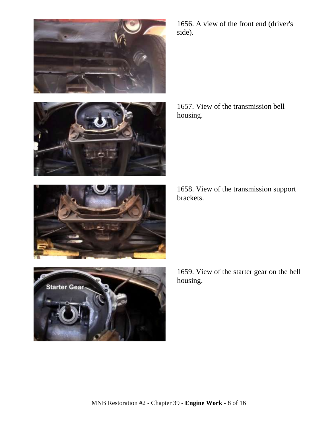





**Starter Gear** 

1656. A view of the front end (driver's side).

1657. View of the transmission bell housing.

1658. View of the transmission support brackets.

1659. View of the starter gear on the bell housing.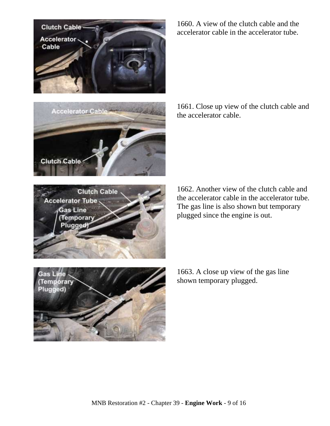



1660. A view of the clutch cable and the accelerator cable in the accelerator tube.

1661. Close up view of the clutch cable and the accelerator cable.



1662. Another view of the clutch cable and the accelerator cable in the accelerator tube. The gas line is also shown but temporary plugged since the engine is out.



1663. A close up view of the gas line shown temporary plugged.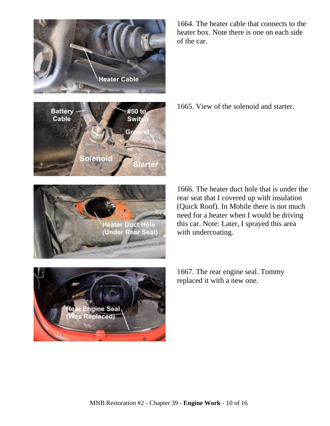



**Heater Duct Hole**<br>(Under Rear Seat)

1664. The heater cable that connects to the heater box. Note there is one on each side of the car.

1665. View of the solenoid and starter.

1666. The heater duct hole that is under the rear seat that I covered up with insulation (Quick Roof). In Mobile there is not much need for a heater when I would be driving this car. Note: Later, I sprayed this area with undercoating.

.<br>Was Replaced)<br>Was Replaced)

1667. The rear engine seal. Tommy replaced it with a new one.

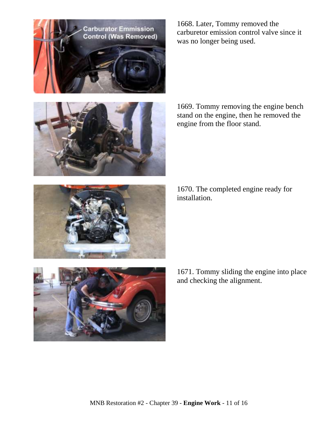





1669. Tommy removing the engine bench stand on the engine, then he removed the engine from the floor stand.

1670. The completed engine ready for installation.



1671. Tommy sliding the engine into place and checking the alignment.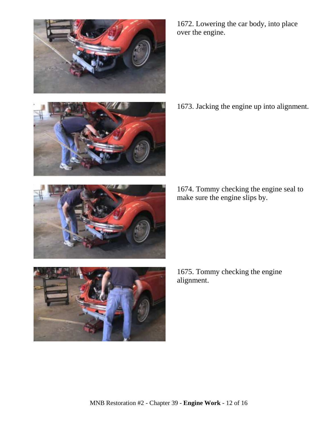



alignment.

1675. Tommy checking the engine

1674. Tommy checking the engine seal to make sure the engine slips by.





1672. Lowering the car body, into place over the engine.

1673. Jacking the engine up into alignment.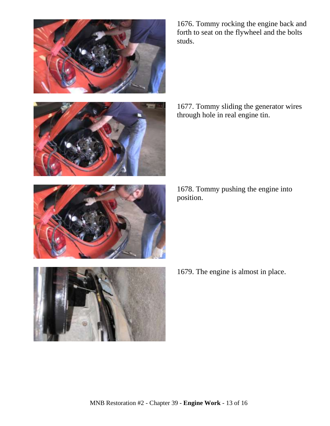





1676. Tommy rocking the engine back and forth to seat on the flywheel and the bolts studs.

1677. Tommy sliding the generator wires through hole in real engine tin.

1678. Tommy pushing the engine into position.

1679. The engine is almost in place.

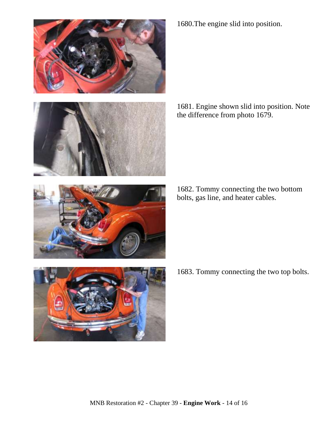



1680.The engine slid into position.

1681. Engine shown slid into position. Note the difference from photo 1679.

1682. Tommy connecting the two bottom bolts, gas line, and heater cables.



1683. Tommy connecting the two top bolts.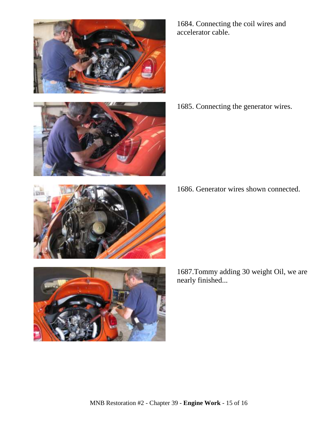





1685. Connecting the generator wires.

1686. Generator wires shown connected.



1687.Tommy adding 30 weight Oil, we are nearly finished...